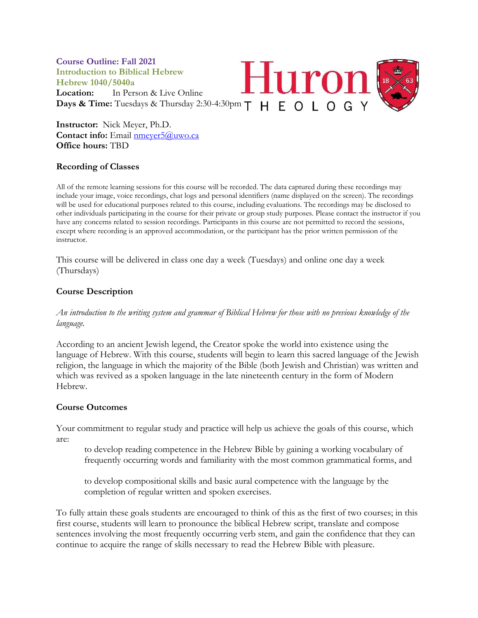

**Instructor:** Nick Meyer, Ph.D. **Contact info:** Email [nmeyer5@uwo.ca](mailto:nmeyer5@uwo.ca) **Office hours:** TBD

# **Recording of Classes**

All of the remote learning sessions for this course will be recorded. The data captured during these recordings may include your image, voice recordings, chat logs and personal identifiers (name displayed on the screen). The recordings will be used for educational purposes related to this course, including evaluations. The recordings may be disclosed to other individuals participating in the course for their private or group study purposes. Please contact the instructor if you have any concerns related to session recordings. Participants in this course are not permitted to record the sessions, except where recording is an approved accommodation, or the participant has the prior written permission of the instructor.

This course will be delivered in class one day a week (Tuesdays) and online one day a week (Thursdays)

# **Course Description**

*An introduction to the writing system and grammar of Biblical Hebrew for those with no previous knowledge of the language.*

According to an ancient Jewish legend, the Creator spoke the world into existence using the language of Hebrew. With this course, students will begin to learn this sacred language of the Jewish religion, the language in which the majority of the Bible (both Jewish and Christian) was written and which was revived as a spoken language in the late nineteenth century in the form of Modern Hebrew.

### **Course Outcomes**

Your commitment to regular study and practice will help us achieve the goals of this course, which are:

to develop reading competence in the Hebrew Bible by gaining a working vocabulary of frequently occurring words and familiarity with the most common grammatical forms, and

to develop compositional skills and basic aural competence with the language by the completion of regular written and spoken exercises.

To fully attain these goals students are encouraged to think of this as the first of two courses; in this first course, students will learn to pronounce the biblical Hebrew script, translate and compose sentences involving the most frequently occurring verb stem, and gain the confidence that they can continue to acquire the range of skills necessary to read the Hebrew Bible with pleasure.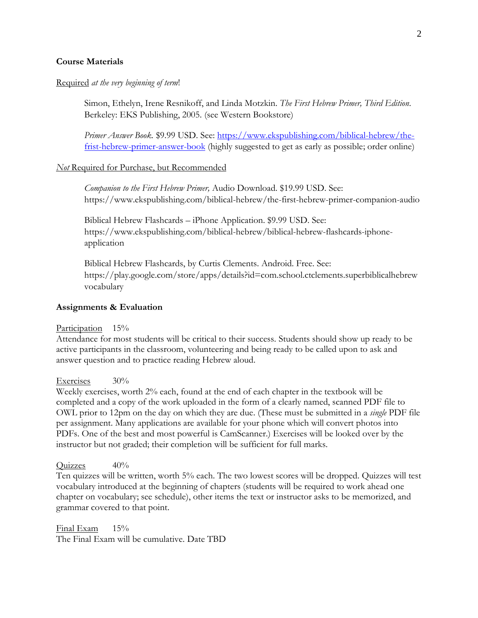### **Course Materials**

#### Required *at the very beginning of term*!

Simon, Ethelyn, Irene Resnikoff, and Linda Motzkin. *The First Hebrew Primer, Third Edition*. Berkeley: EKS Publishing, 2005. (see Western Bookstore)

*Primer Answer Book.* \$9.99 USD. See: [https://www.ekspublishing.com/biblical-hebrew/the](https://www.ekspublishing.com/biblical-hebrew/the-frist-hebrew-primer-answer-book)[frist-hebrew-primer-answer-book](https://www.ekspublishing.com/biblical-hebrew/the-frist-hebrew-primer-answer-book) (highly suggested to get as early as possible; order online)

#### *Not* Required for Purchase, but Recommended

*Companion to the First Hebrew Primer,* Audio Download. \$19.99 USD. See: https://www.ekspublishing.com/biblical-hebrew/the-first-hebrew-primer-companion-audio

Biblical Hebrew Flashcards – iPhone Application. \$9.99 USD. See: https://www.ekspublishing.com/biblical-hebrew/biblical-hebrew-flashcards-iphoneapplication

Biblical Hebrew Flashcards, by Curtis Clements. Android. Free. See: https://play.google.com/store/apps/details?id=com.school.ctclements.superbiblicalhebrew vocabulary

#### **Assignments & Evaluation**

#### Participation 15%

Attendance for most students will be critical to their success*.* Students should show up ready to be active participants in the classroom, volunteering and being ready to be called upon to ask and answer question and to practice reading Hebrew aloud.

#### Exercises 30%

Weekly exercises, worth 2% each, found at the end of each chapter in the textbook will be completed and a copy of the work uploaded in the form of a clearly named, scanned PDF file to OWL prior to 12pm on the day on which they are due. (These must be submitted in a *single* PDF file per assignment. Many applications are available for your phone which will convert photos into PDFs. One of the best and most powerful is CamScanner.) Exercises will be looked over by the instructor but not graded; their completion will be sufficient for full marks.

Quizzes 40%

Ten quizzes will be written, worth 5% each. The two lowest scores will be dropped. Quizzes will test vocabulary introduced at the beginning of chapters (students will be required to work ahead one chapter on vocabulary; see schedule), other items the text or instructor asks to be memorized, and grammar covered to that point.

Final Exam 15% The Final Exam will be cumulative. Date TBD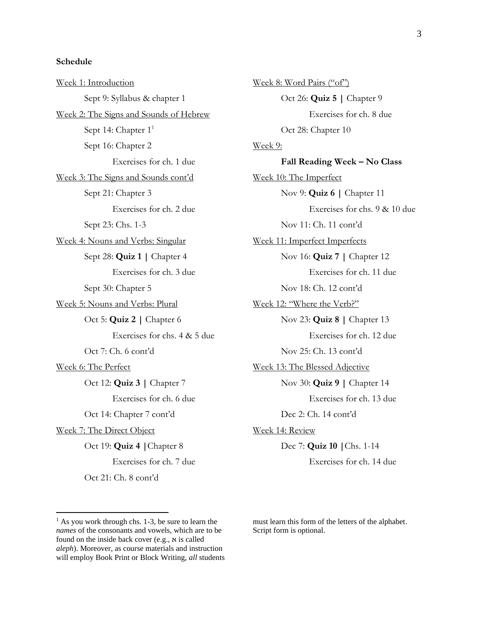### **Schedule**

Week 1: Introduction Sept 9: Syllabus & chapter 1 Week 2: The Signs and Sounds of Hebrew Sept 14: Chapter 1<sup>1</sup> Sept 16: Chapter 2 Exercises for ch. 1 due Week 3: The Signs and Sounds cont'd Sept 21: Chapter 3 Exercises for ch. 2 due Sept 23: Chs. 1-3 Week 4: Nouns and Verbs: Singular Sept 28: **Quiz 1 |** Chapter 4 Exercises for ch. 3 due Sept 30: Chapter 5 Week 5: Nouns and Verbs: Plural Oct 5: **Quiz 2 |** Chapter 6 Exercises for chs. 4 & 5 due Oct 7: Ch. 6 cont'd Week 6: The Perfect Oct 12: **Quiz 3 |** Chapter 7 Exercises for ch. 6 due Oct 14: Chapter 7 cont'd Week 7: The Direct Object Oct 19: **Quiz 4 |**Chapter 8 Exercises for ch. 7 due

Oct 21: Ch. 8 cont'd

Week 8: Word Pairs ("of") Oct 26: **Quiz 5 |** Chapter 9 Exercises for ch. 8 due Oct 28: Chapter 10 Week 9: **Fall Reading Week – No Class** Week 10: The Imperfect Nov 9: **Quiz 6 |** Chapter 11 Exercises for chs. 9 & 10 due Nov 11: Ch. 11 cont'd Week 11: Imperfect Imperfects Nov 16: **Quiz 7 |** Chapter 12 Exercises for ch. 11 due Nov 18: Ch. 12 cont'd Week 12: "Where the Verb?" Nov 23: **Quiz 8 |** Chapter 13 Exercises for ch. 12 due Nov 25: Ch. 13 cont'd Week 13: The Blessed Adjective Nov 30: **Quiz 9 |** Chapter 14 Exercises for ch. 13 due Dec 2: Ch. 14 cont'd Week 14: Review Dec 7: **Quiz 10 |**Chs. 1-14 Exercises for ch. 14 due

must learn this form of the letters of the alphabet. Script form is optional.

 $<sup>1</sup>$  As you work through chs. 1-3, be sure to learn the</sup> *names* of the consonants and vowels, which are to be found on the inside back cover (e.g., א is called *aleph*). Moreover, as course materials and instruction will employ Book Print or Block Writing, *all* students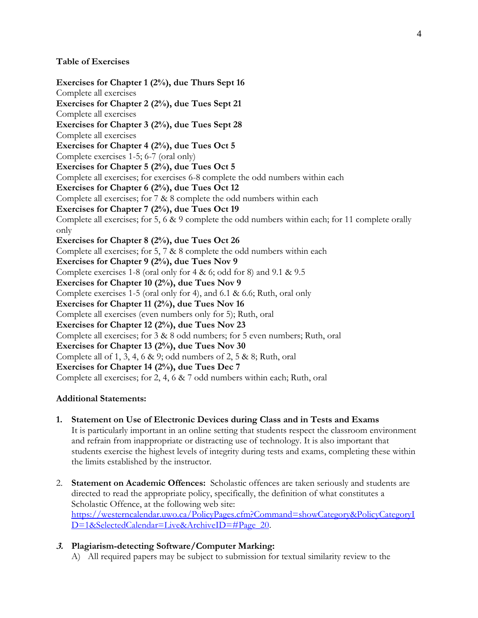### **Table of Exercises**

**Exercises for Chapter 1 (2%), due Thurs Sept 16** Complete all exercises **Exercises for Chapter 2 (2%), due Tues Sept 21** Complete all exercises **Exercises for Chapter 3 (2%), due Tues Sept 28** Complete all exercises **Exercises for Chapter 4 (2%), due Tues Oct 5** Complete exercises 1-5; 6-7 (oral only) **Exercises for Chapter 5 (2%), due Tues Oct 5** Complete all exercises; for exercises 6-8 complete the odd numbers within each **Exercises for Chapter 6 (2%), due Tues Oct 12** Complete all exercises; for 7 & 8 complete the odd numbers within each **Exercises for Chapter 7 (2%), due Tues Oct 19** Complete all exercises; for 5, 6 & 9 complete the odd numbers within each; for 11 complete orally only **Exercises for Chapter 8 (2%), due Tues Oct 26** Complete all exercises; for 5, 7 & 8 complete the odd numbers within each **Exercises for Chapter 9 (2%), due Tues Nov 9** Complete exercises 1-8 (oral only for 4 & 6; odd for 8) and 9.1 & 9.5 **Exercises for Chapter 10 (2%), due Tues Nov 9** Complete exercises 1-5 (oral only for 4), and 6.1 & 6.6; Ruth, oral only **Exercises for Chapter 11 (2%), due Tues Nov 16** Complete all exercises (even numbers only for 5); Ruth, oral **Exercises for Chapter 12 (2%), due Tues Nov 23** Complete all exercises; for 3 & 8 odd numbers; for 5 even numbers; Ruth, oral **Exercises for Chapter 13 (2%), due Tues Nov 30** Complete all of 1, 3, 4, 6 & 9; odd numbers of 2, 5 & 8; Ruth, oral **Exercises for Chapter 14 (2%), due Tues Dec 7** Complete all exercises; for 2, 4, 6 & 7 odd numbers within each; Ruth, oral

# **Additional Statements:**

- **1. Statement on Use of Electronic Devices during Class and in Tests and Exams**  It is particularly important in an online setting that students respect the classroom environment and refrain from inappropriate or distracting use of technology. It is also important that students exercise the highest levels of integrity during tests and exams, completing these within the limits established by the instructor.
- 2. **Statement on Academic Offences:** Scholastic offences are taken seriously and students are directed to read the appropriate policy, specifically, the definition of what constitutes a Scholastic Offence, at the following web site: [https://westerncalendar.uwo.ca/PolicyPages.cfm?Command=showCategory&PolicyCategoryI](https://westerncalendar.uwo.ca/PolicyPages.cfm?Command=showCategory&PolicyCategoryID=1&SelectedCalendar=Live&ArchiveID=#Page_20) [D=1&SelectedCalendar=Live&ArchiveID=#Page\\_20.](https://westerncalendar.uwo.ca/PolicyPages.cfm?Command=showCategory&PolicyCategoryID=1&SelectedCalendar=Live&ArchiveID=#Page_20)

# **3. Plagiarism-detecting Software/Computer Marking:**

A) All required papers may be subject to submission for textual similarity review to the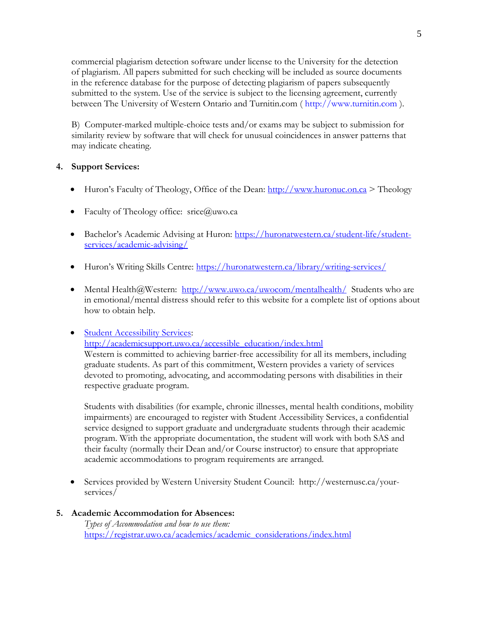commercial plagiarism detection software under license to the University for the detection of plagiarism. All papers submitted for such checking will be included as source documents in the reference database for the purpose of detecting plagiarism of papers subsequently submitted to the system. Use of the service is subject to the licensing agreement, currently between The University of Western Ontario and Turnitin.com ( http://www.turnitin.com ).

B) Computer-marked multiple-choice tests and/or exams may be subject to submission for similarity review by software that will check for unusual coincidences in answer patterns that may indicate cheating.

# **4. Support Services:**

- Huron's Faculty of Theology, Office of the Dean: [http://www.huronuc.on.ca](http://www.huronuc.on.ca/)  $\geq$  Theology
- Faculty of Theology office:  $\text{src}(\hat{a})$ uwo.ca
- Bachelor's Academic Advising at Huron: [https://huronatwestern.ca/student-life/student](https://huronatwestern.ca/student-life/student-services/academic-advising/)[services/academic-advising/](https://huronatwestern.ca/student-life/student-services/academic-advising/)
- Huron's Writing Skills Centre: <https://huronatwestern.ca/library/writing-services/>
- Mental Health@Western:  $\frac{http://www.uwo.ca/uwocom/mentalhealth/}{http://www.uwo.ca/uwocom/mentalth/}$  Students who are in emotional/mental distress should refer to this website for a complete list of options about how to obtain help.
- [Student Accessibility Services:](http://academicsupport.uwo.ca/accessible_education/index.html) [http://academicsupport.uwo.ca/accessible\\_education/index.html](http://academicsupport.uwo.ca/accessible_education/index.html) Western is committed to achieving barrier-free accessibility for all its members, including graduate students. As part of this commitment, Western provides a variety of services devoted to promoting, advocating, and accommodating persons with disabilities in their respective graduate program.

Students with disabilities (for example, chronic illnesses, mental health conditions, mobility impairments) are encouraged to register with Student Accessibility Services, a confidential service designed to support graduate and undergraduate students through their academic program. With the appropriate documentation, the student will work with both SAS and their faculty (normally their Dean and/or Course instructor) to ensure that appropriate academic accommodations to program requirements are arranged.

- Services provided by Western University Student Council: http://westernusc.ca/yourservices/
- **5. Academic Accommodation for Absences:** *Types of Accommodation and how to use them:*  [https://registrar.uwo.ca/academics/academic\\_considerations/index.html](https://registrar.uwo.ca/academics/academic_considerations/index.html)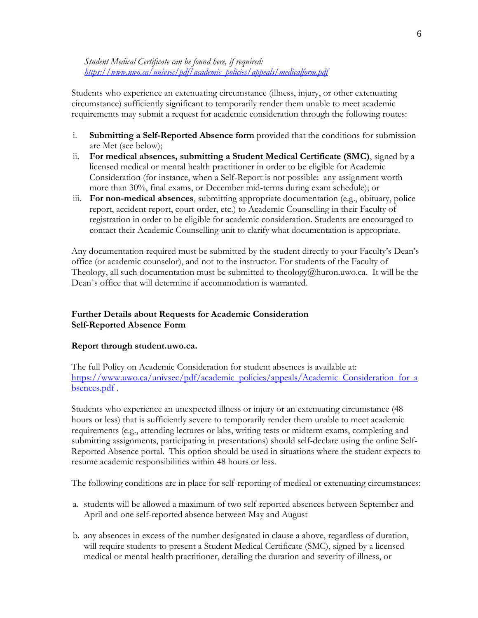### *Student Medical Certificate can be found here, if required: [https://www.uwo.ca/univsec/pdf/academic\\_policies/appeals/medicalform.pdf](https://www.uwo.ca/univsec/pdf/academic_policies/appeals/medicalform.pdf)*

Students who experience an extenuating circumstance (illness, injury, or other extenuating circumstance) sufficiently significant to temporarily render them unable to meet academic requirements may submit a request for academic consideration through the following routes:

- i. **Submitting a Self-Reported Absence form** provided that the conditions for submission are Met (see below);
- ii. **For medical absences, submitting a Student Medical Certificate (SMC)**, signed by a licensed medical or mental health practitioner in order to be eligible for Academic Consideration (for instance, when a Self-Report is not possible: any assignment worth more than 30%, final exams, or December mid-terms during exam schedule); or
- iii. **For non-medical absences**, submitting appropriate documentation (e.g., obituary, police report, accident report, court order, etc.) to Academic Counselling in their Faculty of registration in order to be eligible for academic consideration. Students are encouraged to contact their Academic Counselling unit to clarify what documentation is appropriate.

Any documentation required must be submitted by the student directly to your Faculty's Dean's office (or academic counselor), and not to the instructor. For students of the Faculty of Theology, all such documentation must be submitted to theology@huron.uwo.ca. It will be the Dean`s office that will determine if accommodation is warranted.

# **Further Details about Requests for Academic Consideration Self-Reported Absence Form**

# **Report through student.uwo.ca.**

The full Policy on Academic Consideration for student absences is available at: [https://www.uwo.ca/univsec/pdf/academic\\_policies/appeals/Academic\\_Consideration\\_for\\_a](https://www.uwo.ca/univsec/pdf/academic_policies/appeals/Academic_Consideration_for_absences.pdf) [bsences.pdf](https://www.uwo.ca/univsec/pdf/academic_policies/appeals/Academic_Consideration_for_absences.pdf).

Students who experience an unexpected illness or injury or an extenuating circumstance (48 hours or less) that is sufficiently severe to temporarily render them unable to meet academic requirements (e.g., attending lectures or labs, writing tests or midterm exams, completing and submitting assignments, participating in presentations) should self-declare using the online Self-Reported Absence portal. This option should be used in situations where the student expects to resume academic responsibilities within 48 hours or less.

The following conditions are in place for self-reporting of medical or extenuating circumstances:

- a. students will be allowed a maximum of two self-reported absences between September and April and one self-reported absence between May and August
- b. any absences in excess of the number designated in clause a above, regardless of duration, will require students to present a Student Medical Certificate (SMC), signed by a licensed medical or mental health practitioner, detailing the duration and severity of illness, or